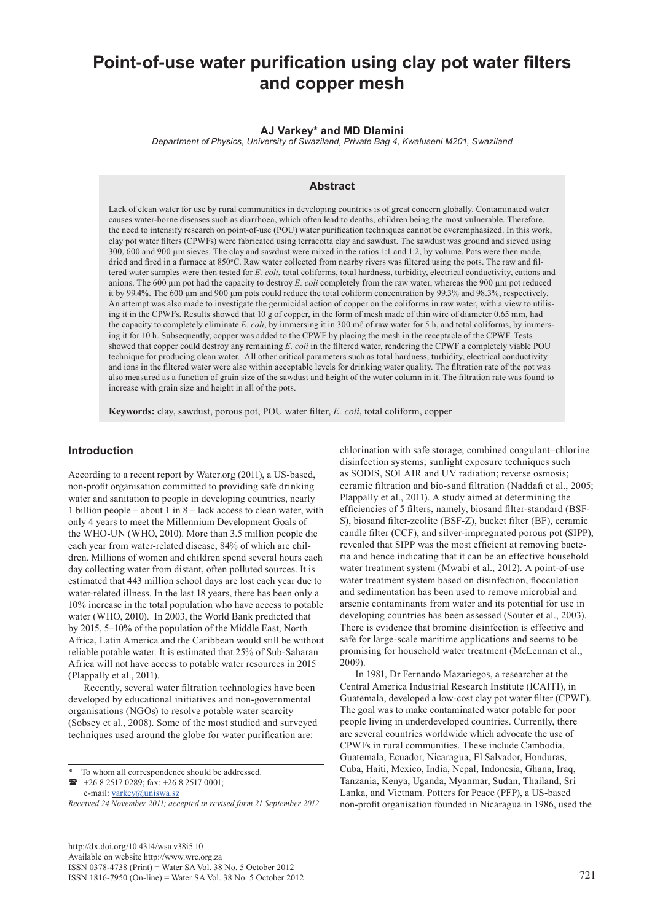# **Point-of-use water purification using clay pot water filters and copper mesh**

#### **AJ Varkey\* and MD Dlamini**

*Department of Physics, University of Swaziland, Private Bag 4, Kwaluseni M201, Swaziland*

## **Abstract**

Lack of clean water for use by rural communities in developing countries is of great concern globally. Contaminated water causes water-borne diseases such as diarrhoea, which often lead to deaths, children being the most vulnerable. Therefore, the need to intensify research on point-of-use (POU) water purification techniques cannot be overemphasized. In this work, clay pot water filters (CPWFs) were fabricated using terracotta clay and sawdust. The sawdust was ground and sieved using 300, 600 and 900 µm sieves. The clay and sawdust were mixed in the ratios 1:1 and 1:2, by volume. Pots were then made, dried and fired in a furnace at 850°C. Raw water collected from nearby rivers was filtered using the pots. The raw and filtered water samples were then tested for *E. coli*, total coliforms, total hardness, turbidity, electrical conductivity, cations and anions. The 600 µm pot had the capacity to destroy *E. coli* completely from the raw water, whereas the 900 µm pot reduced it by 99.4%. The 600 µm and 900 µm pots could reduce the total coliform concentration by 99.3% and 98.3%, respectively. An attempt was also made to investigate the germicidal action of copper on the coliforms in raw water, with a view to utilising it in the CPWFs. Results showed that 10 g of copper, in the form of mesh made of thin wire of diameter 0.65 mm, had the capacity to completely eliminate *E. coli*, by immersing it in 300 mℓ of raw water for 5 h, and total coliforms, by immersing it for 10 h. Subsequently, copper was added to the CPWF by placing the mesh in the receptacle of the CPWF. Tests showed that copper could destroy any remaining *E. coli* in the filtered water, rendering the CPWF a completely viable POU technique for producing clean water. All other critical parameters such as total hardness, turbidity, electrical conductivity and ions in the filtered water were also within acceptable levels for drinking water quality. The filtration rate of the pot was also measured as a function of grain size of the sawdust and height of the water column in it. The filtration rate was found to increase with grain size and height in all of the pots.

**Keywords:** clay, sawdust, porous pot, POU water filter, *E. coli*, total coliform, copper

## **Introduction**

According to a recent report by Water.org (2011), a US-based, non-profit organisation committed to providing safe drinking water and sanitation to people in developing countries, nearly 1 billion people – about 1 in 8 – lack access to clean water, with only 4 years to meet the Millennium Development Goals of the WHO-UN (WHO, 2010). More than 3.5 million people die each year from water-related disease, 84% of which are children. Millions of women and children spend several hours each day collecting water from distant, often polluted sources. It is estimated that 443 million school days are lost each year due to water-related illness. In the last 18 years, there has been only a 10% increase in the total population who have access to potable water (WHO, 2010). In 2003, the World Bank predicted that by 2015, 5–10% of the population of the Middle East, North Africa, Latin America and the Caribbean would still be without reliable potable water. It is estimated that 25% of Sub-Saharan Africa will not have access to potable water resources in 2015 (Plappally et al., 2011).

Recently, several water filtration technologies have been developed by educational initiatives and non-governmental organisations (NGOs) to resolve potable water scarcity (Sobsey et al., 2008). Some of the most studied and surveyed techniques used around the globe for water purification are:

 +26 8 2517 0289; fax: +26 8 2517 0001; e-mail: varkey@uniswa.sz

[http://dx.doi.org/10.4314/wsa.v38i5.10](http://dx.doi.org/10.4314/wsa.v37i4.18)  Available on website http://www.wrc.org.za ISSN 0378-4738 (Print) = Water SA Vol. 38 No. 5 October 2012 ISSN 1816-7950 (On-line) = Water SA Vol. 38 No. 5 October 2012 721

chlorination with safe storage; combined coagulant–chlorine disinfection systems; sunlight exposure techniques such as SODIS, SOLAIR and UV radiation; reverse osmosis; ceramic filtration and bio-sand filtration (Naddafi et al., 2005; Plappally et al., 2011). A study aimed at determining the efficiencies of 5 filters, namely, biosand filter-standard (BSF-S), biosand filter-zeolite (BSF-Z), bucket filter (BF), ceramic candle filter (CCF), and silver-impregnated porous pot (SIPP), revealed that SIPP was the most efficient at removing bacteria and hence indicating that it can be an effective household water treatment system (Mwabi et al., 2012). A point-of-use water treatment system based on disinfection, flocculation and sedimentation has been used to remove microbial and arsenic contaminants from water and its potential for use in developing countries has been assessed (Souter et al., 2003). There is evidence that bromine disinfection is effective and safe for large-scale maritime applications and seems to be promising for household water treatment (McLennan et al., 2009).

In 1981, Dr Fernando Mazariegos, a researcher at the Central America Industrial Research Institute (ICAITI), in Guatemala, developed a low-cost clay pot water filter (CPWF). The goal was to make contaminated water potable for poor people living in underdeveloped countries. Currently, there are several countries worldwide which advocate the use of CPWFs in rural communities. These include Cambodia, Guatemala, Ecuador, Nicaragua, El Salvador, Honduras, Cuba, Haiti, Mexico, India, Nepal, Indonesia, Ghana, Iraq, Tanzania, Kenya, Uganda, Myanmar, Sudan, Thailand, Sri Lanka, and Vietnam. Potters for Peace (PFP), a US-based non-profit organisation founded in Nicaragua in 1986, used the

To whom all correspondence should be addressed.

*Received 24 November 2011; accepted in revised form 21 September 2012.*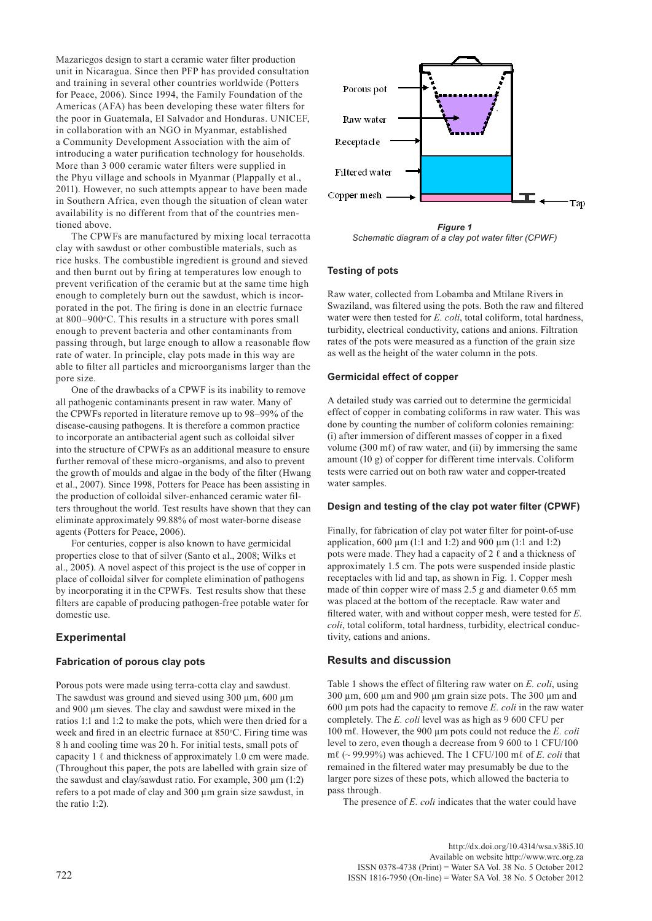Mazariegos design to start a ceramic water filter production unit in Nicaragua. Since then PFP has provided consultation and training in several other countries worldwide (Potters for Peace, 2006). Since 1994, the Family Foundation of the Americas (AFA) has been developing these water filters for the poor in Guatemala, El Salvador and Honduras. UNICEF, in collaboration with an NGO in Myanmar, established a Community Development Association with the aim of introducing a water purification technology for households. More than 3 000 ceramic water filters were supplied in the Phyu village and schools in Myanmar (Plappally et al., 2011). However, no such attempts appear to have been made in Southern Africa, even though the situation of clean water availability is no different from that of the countries mentioned above.

The CPWFs are manufactured by mixing local [terracotta](http://en.wikipedia.org/wiki/Terra-cotta)  clay with [sawdust](http://en.wikipedia.org/wiki/Sawdust) or other combustible materials, such as [rice](http://en.wikipedia.org/wiki/Rice) husks. The combustible ingredient is ground and sieved and then burnt out by firing at temperatures low enough to prevent verification of the ceramic but at the same time high enough to completely burn out the sawdust, which is incorporated in the pot. The firing is done in an electric furnace at 800–900°C. This results in a structure with pores small enough to prevent bacteria and other contaminants from passing through, but large enough to allow a reasonable flow rate of water. In principle, clay pots made in this way are able to filter all particles and microorganisms larger than the pore size.

One of the drawbacks of a CPWF is its inability to remove all pathogenic contaminants present in raw water. Many of the CPWFs reported in literature remove up to 98–99% of the disease-causing pathogens. It is therefore a common practice to incorporate an antibacterial agent such as colloidal silver into the structure of CPWFs as an additional measure to ensure further removal of these micro-organisms, and also to prevent the growth of moulds and algae in the body of the filter (Hwang et al., 2007). Since 1998, Potters for Peace has been assisting in the production of colloidal silver-enhanced ceramic water filters throughout the world. Test results have shown that they can eliminate approximately 99.88% of most water-borne disease agents (Potters for Peace, 2006).

For centuries, copper is also known to have germicidal properties close to that of silver (Santo et al., 2008; Wilks et al., 2005). A novel aspect of this project is the use of copper in place of colloidal silver for complete elimination of pathogens by incorporating it in the CPWFs. Test results show that these filters are capable of producing pathogen-free potable water for domestic use.

## **Experimental**

#### **Fabrication of porous clay pots**

Porous pots were made using terra-cotta clay and sawdust. The sawdust was ground and sieved using  $300 \mu m$ ,  $600 \mu m$ and 900 µm sieves. The clay and sawdust were mixed in the ratios 1:1 and 1:2 to make the pots, which were then dried for a week and fired in an electric furnace at 850°C. Firing time was 8 h and cooling time was 20 h. For initial tests, small pots of capacity 1  $\ell$  and thickness of approximately 1.0 cm were made. (Throughout this paper, the pots are labelled with grain size of the sawdust and clay/sawdust ratio. For example,  $300 \text{ µm}$  (1:2) refers to a pot made of clay and 300 µm grain size sawdust, in the ratio 1:2).



*Figure 1 Schematic diagram of a clay pot water filter (CPWF)*

#### **Testing of pots**

Raw water, collected from Lobamba and Mtilane Rivers in Swaziland, was filtered using the pots. Both the raw and filtered water were then tested for *E. coli*, total coliform, total hardness, turbidity, electrical conductivity, cations and anions. Filtration rates of the pots were measured as a function of the grain size as well as the height of the water column in the pots.

#### **Germicidal effect of copper**

A detailed study was carried out to determine the germicidal effect of copper in combating coliforms in raw water. This was done by counting the number of coliform colonies remaining: (i) after immersion of different masses of copper in a fixed volume (300 m $\ell$ ) of raw water, and (ii) by immersing the same amount (10 g) of copper for different time intervals. Coliform tests were carried out on both raw water and copper-treated water samples.

#### **Design and testing of the clay pot water filter (CPWF)**

Finally, for fabrication of clay pot water filter for point-of-use application,  $600 \mu m$  (1:1 and 1:2) and  $900 \mu m$  (1:1 and 1:2) pots were made. They had a capacity of  $2 \ell$  and a thickness of approximately 1.5 cm. The pots were suspended inside plastic receptacles with lid and tap, as shown in Fig. 1. Copper mesh made of thin copper wire of mass 2.5 g and diameter 0.65 mm was placed at the bottom of the receptacle. Raw water and filtered water, with and without copper mesh, were tested for *E. coli*, total coliform, total hardness, turbidity, electrical conductivity, cations and anions.

#### **Results and discussion**

Table 1 shows the effect of filtering raw water on *E. coli*, using 300 µm, 600 µm and 900 µm grain size pots. The 300 µm and 600 µm pots had the capacity to remove *E. coli* in the raw water completely. The *E. coli* level was as high as 9 600 CFU per 100 mℓ. However, the 900 µm pots could not reduce the *E. coli* level to zero, even though a decrease from 9 600 to 1 CFU/100 mℓ (~ 99.99%) was achieved. The 1 CFU/100 mℓ of *E. coli* that remained in the filtered water may presumably be due to the larger pore sizes of these pots, which allowed the bacteria to pass through.

The presence of *E. coli* indicates that the water could have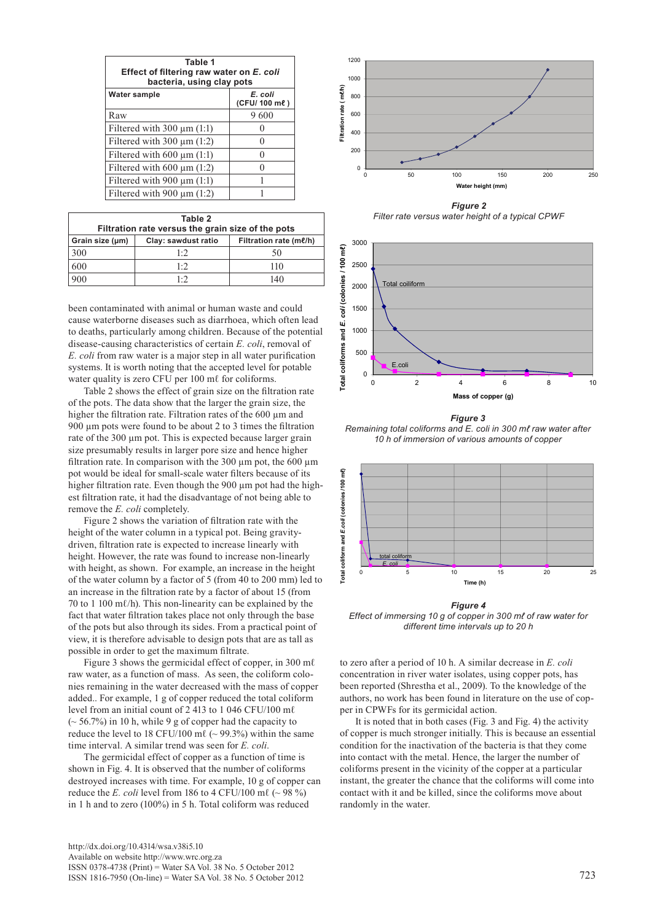| Table 1<br>Effect of filtering raw water on E. coli<br>bacteria, using clay pots |                         |  |  |
|----------------------------------------------------------------------------------|-------------------------|--|--|
| Water sample                                                                     | E. coli<br>(CFU/100 me) |  |  |
| Raw                                                                              | 9600                    |  |  |
| Filtered with $300 \mu m$ (1:1)                                                  |                         |  |  |
| Filtered with $300 \mu m$ (1:2)                                                  |                         |  |  |
| Filtered with $600 \mu m$ (1:1)                                                  |                         |  |  |
| Filtered with $600 \mu m$ (1:2)                                                  |                         |  |  |
| Filtered with 900 $\mu$ m (1:1)                                                  |                         |  |  |
| Filtered with 900 $\mu$ m (1:2)                                                  |                         |  |  |

| Table 2<br>Filtration rate versus the grain size of the pots |                                               |     |  |  |
|--------------------------------------------------------------|-----------------------------------------------|-----|--|--|
| Grain size (µm)                                              | Filtration rate (me/h)<br>Clay: sawdust ratio |     |  |  |
| 300                                                          | 1.2                                           | 50  |  |  |
| 600                                                          | 1.2                                           | 110 |  |  |
|                                                              | $1 \cdot 2$                                   | 140 |  |  |

been contaminated with animal or human waste and could cause waterborne diseases such as diarrhoea, which often lead to deaths, particularly among children. Because of the potential disease-causing characteristics of certain *E. coli*, removal of *E. coli* from raw water is a major step in all water purification systems. It is worth noting that the accepted level for potable water quality is zero CFU per 100 ml for coliforms.

Table 2 shows the effect of grain size on the filtration rate of the pots. The data show that the larger the grain size, the higher the filtration rate. Filtration rates of the 600 um and 900 µm pots were found to be about 2 to 3 times the filtration rate of the 300 um pot. This is expected because larger grain size presumably results in larger pore size and hence higher filtration rate. In comparison with the 300  $\mu$ m pot, the 600  $\mu$ m pot would be ideal for small-scale water filters because of its higher filtration rate. Even though the 900 µm pot had the highest filtration rate, it had the disadvantage of not being able to remove the *E. coli* completely.

Figure 2 shows the variation of filtration rate with the height of the water column in a typical pot. Being gravitydriven, filtration rate is expected to increase linearly with height. However, the rate was found to increase non-linearly with height, as shown. For example, an increase in the height of the water column by a factor of 5 (from 40 to 200 mm) led to an increase in the filtration rate by a factor of about 15 (from 70 to 1 100 m $\ell$ /h). This non-linearity can be explained by the fact that water filtration takes place not only through the base of the pots but also through its sides. From a practical point of view, it is therefore advisable to design pots that are as tall as possible in order to get the maximum filtrate.

Figure 3 shows the germicidal effect of copper, in 300 mℓ raw water, as a function of mass. As seen, the coliform colonies remaining in the water decreased with the mass of copper added.. For example, 1 g of copper reduced the total coliform level from an initial count of 2 413 to 1 046 CFU/100 mℓ  $\approx$  56.7%) in 10 h, while 9 g of copper had the capacity to reduce the level to 18 CFU/100 m $\ell$  ( $\sim$  99.3%) within the same time interval. A similar trend was seen for *E. coli*.

The germicidal effect of copper as a function of time is shown in Fig. 4. It is observed that the number of coliforms destroyed increases with time. For example, 10 g of copper can reduce the *E. coli* level from 186 to 4 CFU/100 m $\ell$  ( $\sim$  98 %) in 1 h and to zero (100%) in 5 h. Total coliform was reduced



**Remaining total coliforms and** *E. coli* **in 300 mℓ of raw water after 10 h of immersion of various amounts of copper**  *Filter rate versus water height of a typical CPWF*



**Effect of immersing 10 g of copper in 300 mℓ of raw water for**  *10 h of immersion of various amounts of copper Figure 3 Remaining total coliforms and E. coli in 300 mℓ raw water after* 



*Figure 4 Effect of immersing 10 g of copper in 300 mℓ of raw water for different time intervals up to 20 h*

to zero after a period of 10 h. A similar decrease in *E. coli*  concentration in river water isolates, using copper pots, has been reported (Shrestha et al., 2009). To the knowledge of the authors, no work has been found in literature on the use of copper in CPWFs for its germicidal action.

It is noted that in both cases (Fig. 3 and Fig. 4) the activity of copper is much stronger initially. This is because an essential condition for the inactivation of the bacteria is that they come into contact with the metal. Hence, the larger the number of coliforms present in the vicinity of the copper at a particular instant, the greater the chance that the coliforms will come into contact with it and be killed, since the coliforms move about randomly in the water.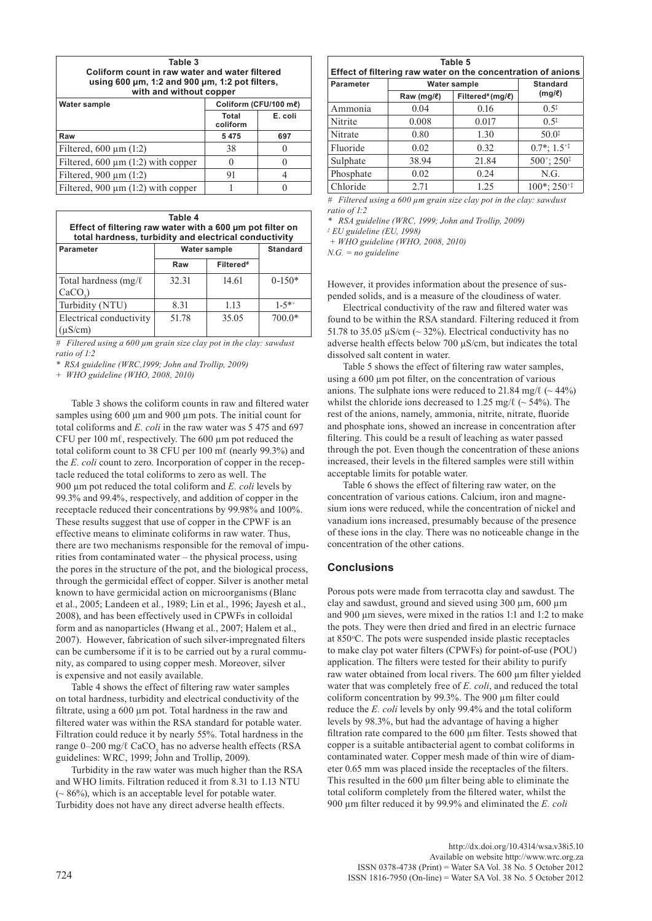| Table 3                                                                             |                       |  |  |  |
|-------------------------------------------------------------------------------------|-----------------------|--|--|--|
| Coliform count in raw water and water filtered                                      |                       |  |  |  |
| using 600 $\mu$ m, 1:2 and 900 $\mu$ m, 1:2 pot filters,<br>with and without copper |                       |  |  |  |
|                                                                                     |                       |  |  |  |
| Water sample                                                                        | Coliform (CFU/100 me) |  |  |  |
|                                                                                     | - - -                 |  |  |  |

|                                         | Total<br>coliform | E. coli |
|-----------------------------------------|-------------------|---------|
| Raw                                     | 5475              | 697     |
| Filtered, $600 \mu m$ (1:2)             | 38                |         |
| Filtered, $600 \mu m$ (1:2) with copper |                   |         |
| Filtered, $900 \mu m$ (1:2)             | 91                |         |
| Filtered, 900 $\mu$ m (1:2) with copper |                   |         |

| Table 4<br>Effect of filtering raw water with a 600 µm pot filter on<br>total hardness, turbidity and electrical conductivity |              |                       |              |
|-------------------------------------------------------------------------------------------------------------------------------|--------------|-----------------------|--------------|
| Parameter                                                                                                                     | Water sample | <b>Standard</b>       |              |
|                                                                                                                               | Raw          | Filtered <sup>#</sup> |              |
| Total hardness $(mg/\ell)$                                                                                                    | 32.31        | 14.61                 | $0-150*$     |
| CaCO <sub>2</sub>                                                                                                             |              |                       |              |
| Turbidity (NTU)                                                                                                               | 8.31         | 1.13                  | $1 - 5^{*+}$ |
| Electrical conductivity                                                                                                       | 51.78        | 35.05                 | $700.0*$     |
| $(\mu S/cm)$                                                                                                                  |              |                       |              |

*# Filtered using a 600 µm grain size clay pot in the clay: sawdust ratio of 1:2*

*\* RSA guideline (WRC,1999; John and Trollip, 2009)*

*+ WHO guideline (WHO, 2008, 2010)*

Table 3 shows the coliform counts in raw and filtered water samples using 600 µm and 900 µm pots. The initial count for total coliforms and *E. coli* in the raw water was 5 475 and 697 CFU per  $100 \text{ m}$  $\ell$ , respectively. The  $600 \text{ nm}$  pot reduced the total coliform count to 38 CFU per 100 mℓ (nearly 99.3%) and the *E. coli* count to zero. Incorporation of copper in the receptacle reduced the total coliforms to zero as well. The 900 µm pot reduced the total coliform and *E. coli* levels by 99.3% and 99.4%, respectively, and addition of copper in the receptacle reduced their concentrations by 99.98% and 100%. These results suggest that use of copper in the CPWF is an effective means to eliminate coliforms in raw water. Thus, there are two mechanisms responsible for the removal of impurities from contaminated water – the physical process, using the pores in the structure of the pot, and the biological process, through the germicidal effect of copper. Silver is another metal known to have germicidal action on microorganisms (Blanc et al*.*, 2005; Landeen et al*.*, 1989; Lin et al*.*, 1996; Jayesh et al., 2008), and has been effectively used in CPWFs in colloidal form and as nanoparticles (Hwang et al*.*, 2007; Halem et al., 2007). However, fabrication of such silver-impregnated filters can be cumbersome if it is to be carried out by a rural community, as compared to using copper mesh. Moreover, silver is expensive and not easily available.

Table 4 shows the effect of filtering raw water samples on total hardness, turbidity and electrical conductivity of the filtrate, using a 600 µm pot. Total hardness in the raw and filtered water was within the RSA standard for potable water. Filtration could reduce it by nearly 55%. Total hardness in the range 0–200 mg/ $\ell$  CaCO<sub>3</sub> has no adverse health effects (RSA guidelines: WRC, 1999; John and Trollip, 2009).

Turbidity in the raw water was much higher than the RSA and WHO limits. Filtration reduced it from 8.31 to 1.13 NTU (~ 86%), which is an acceptable level for potable water. Turbidity does not have any direct adverse health effects.

| <b>Parameter</b> | Water sample   |                 | <b>Standard</b>                                   |
|------------------|----------------|-----------------|---------------------------------------------------|
|                  | Raw ( $mq/l$ ) | Filtered#(mg/ℓ) | $(mg/\ell)$                                       |
| Ammonia          | 0.04           | 0.16            | $0.5^{\ddagger}$                                  |
| Nitrite          | 0.008          | 0.017           | $0.5^{\ddagger}$                                  |
| Nitrate          | 0.80           | 1.30            | $50.0^{\ddagger}$                                 |
| Fluoride         | 0.02           | 0.32            | $0.7^*$ : $1.5^{+1}$                              |
| Sulphate         | 38.94          | 21.84           | $500^{\circ}$ ; 250 <sup><math>\circ</math></sup> |
| Phosphate        | 0.02           | 0.24            | N.G.                                              |
| Chloride         | 2.71           | 1.25            | $100^*$ ; 250 <sup>+‡</sup>                       |

*# Filtered using a 600 µm grain size clay pot in the clay: sawdust ratio of 1:2*

*\* RSA guideline (WRC, 1999; John and Trollip, 2009)*

*‡ EU guideline (EU, 1998) + WHO guideline (WHO, 2008, 2010)*

*N.G. = no guideline*

However, it provides information about the presence of suspended solids, and is a measure of the cloudiness of water.

Electrical conductivity of the raw and filtered water was found to be within the RSA standard. Filtering reduced it from 51.78 to 35.05  $\mu$ S/cm (~ 32%). Electrical conductivity has no adverse health effects below 700 µS/cm, but indicates the total dissolved salt content in water.

Table 5 shows the effect of filtering raw water samples, using a 600 µm pot filter, on the concentration of various anions. The sulphate ions were reduced to 21.84 mg/ $\ell$  (~44%) whilst the chloride ions decreased to 1.25 mg/ $\ell$  ( $\sim$  54%). The rest of the anions, namely, ammonia, nitrite, nitrate, fluoride and phosphate ions, showed an increase in concentration after filtering. This could be a result of leaching as water passed through the pot. Even though the concentration of these anions increased, their levels in the filtered samples were still within acceptable limits for potable water.

Table 6 shows the effect of filtering raw water, on the concentration of various cations. Calcium, iron and magnesium ions were reduced, while the concentration of nickel and vanadium ions increased, presumably because of the presence of these ions in the clay. There was no noticeable change in the concentration of the other cations.

## **Conclusions**

Porous pots were made from terracotta clay and sawdust. The clay and sawdust, ground and sieved using 300 µm, 600 µm and 900 µm sieves, were mixed in the ratios 1:1 and 1:2 to make the pots. They were then dried and fired in an electric furnace at 850°C. The pots were suspended inside plastic receptacles to make clay pot water filters (CPWFs) for point-of-use (POU) application. The filters were tested for their ability to purify raw water obtained from local rivers. The 600 µm filter yielded water that was completely free of *E. coli*, and reduced the total coliform concentration by 99.3%. The 900 µm filter could reduce the *E. coli* levels by only 99.4% and the total coliform levels by 98.3%, but had the advantage of having a higher filtration rate compared to the 600 µm filter. Tests showed that copper is a suitable antibacterial agent to combat coliforms in contaminated water. Copper mesh made of thin wire of diameter 0.65 mm was placed inside the receptacles of the filters. This resulted in the 600 µm filter being able to eliminate the total coliform completely from the filtered water, whilst the 900 µm filter reduced it by 99.9% and eliminated the *E. coli*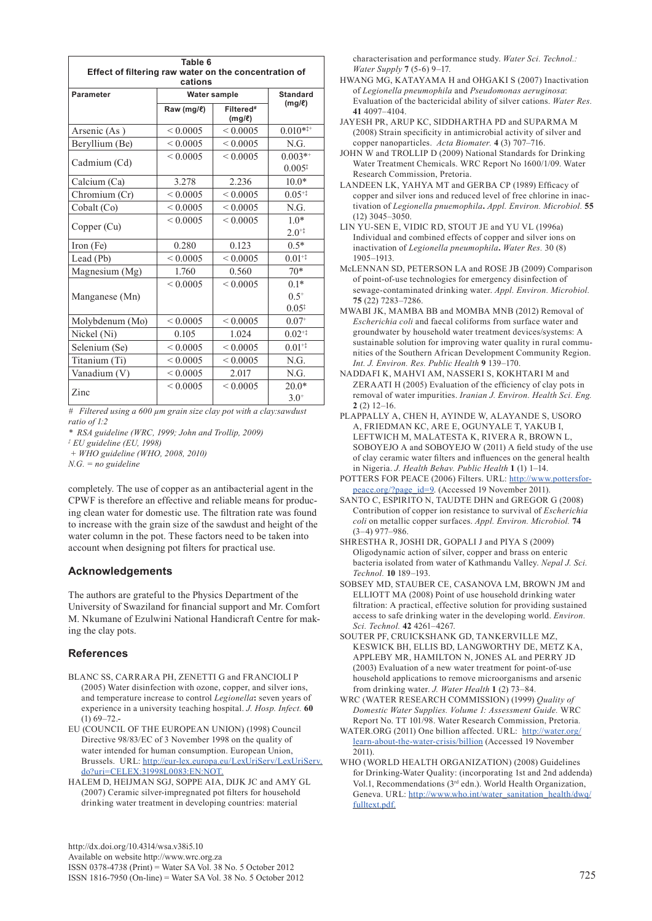| Table 6                                                          |                     |                                      |                                   |
|------------------------------------------------------------------|---------------------|--------------------------------------|-----------------------------------|
| Effect of filtering raw water on the concentration of<br>cations |                     |                                      |                                   |
| Parameter                                                        | <b>Water sample</b> |                                      | <b>Standard</b>                   |
|                                                                  | Raw (mg/l)          | Filtered <sup>#</sup><br>$(mg/\ell)$ | $(mq/\ell)$                       |
| Arsenic (As)                                                     | ${}_{0.0005}$       | ${}_{0.0005}$                        | $0.010**$                         |
| Beryllium (Be)                                                   | ${}_{0.0005}$       | ${}_{0.0005}$                        | N.G.                              |
| Cadmium (Cd)                                                     | ${}_{0.0005}$       | ${}_{0.0005}$                        | $0.003**$<br>$0.005$ <sup>*</sup> |
| Calcium (Ca)                                                     | 3.278               | 2.236                                | $10.0*$                           |
| Chromium (Cr)                                                    | ${}_{0.0005}$       | ${}_{0.0005}$                        | $0.05^{+1}$                       |
| Cobalt (Co)                                                      | ${}_{0.0005}$       | ${}_{0.0005}$                        | N.G.                              |
| Copper (Cu)                                                      | ${}_{0.0005}$       | ${}_{0.0005}$                        | $10*$<br>$2.0^{+1}$               |
| Iron (Fe)                                                        | 0.280               | 0.123                                | $0.5*$                            |
| Lead (Pb)                                                        | ${}_{0.0005}$       | ${}_{0.0005}$                        | $0.01^{+1}$                       |
| Magnesium (Mg)                                                   | 1.760               | 0.560                                | $70*$                             |
| Manganese (Mn)                                                   | ${}_{0.0005}$       | ${}_{0.0005}$                        | $0.1*$<br>$0.5^{+}$<br>$0.05^{1}$ |
| Molybdenum (Mo)                                                  | ${}_{0.0005}$       | ${}_{0.0005}$                        | $0.07^{+}$                        |
| Nickel (Ni)                                                      | 0.105               | 1.024                                | $0.02^{+1}$                       |
| Selenium (Se)                                                    | ${}_{0.0005}$       | ${}_{0.0005}$                        | $0.01^{+1}$                       |
| Titanium (Ti)                                                    | ${}< 0.0005$        | ${}_{0.0005}$                        | N.G.                              |
| Vanadium (V)                                                     | ${}_{0.0005}$       | 2.017                                | N.G.                              |
| Zinc                                                             | ${}_{0.0005}$       | ${}_{0.0005}$                        | $20.0*$<br>$3.0^{+}$              |

*# Filtered using a 600 µm grain size clay pot with a clay:sawdust ratio of 1:2*

*\* RSA guideline (WRC, 1999; John and Trollip, 2009)*

*‡ EU guideline (EU, 1998)*

 *+ WHO guideline (WHO, 2008, 2010)*

*N.G. = no guideline*

completely. The use of copper as an antibacterial agent in the CPWF is therefore an effective and reliable means for producing clean water for domestic use. The filtration rate was found to increase with the grain size of the sawdust and height of the water column in the pot. These factors need to be taken into account when designing pot filters for practical use.

## **Acknowledgements**

The authors are grateful to the Physics Department of the University of Swaziland for financial support and Mr. Comfort M. Nkumane of Ezulwini National Handicraft Centre for making the clay pots.

## **References**

- BLANC SS, CARRARA PH, ZENETTI G and FRANCIOLI P (2005) Water disinfection with ozone, copper, and silver ions, and temperature increase to control *Legionella***:** seven years of experience in a university teaching hospital. *J. Hosp. Infect.* **60**   $(1)$  69–72.
- EU (COUNCIL OF THE EUROPEAN UNION) (1998) Council Directive 98/83/EC of 3 November 1998 on the quality of water intended for human consumption. European Union, Brussels. URL: http://eur-lex.europa.eu/LexUriServ/LexUriServ. do?uri=CELEX:31998L0083:EN:NOT.
- HALEM D, HEIJMAN SGJ, SOPPE AIA, DIJK JC and AMY GL (2007) Ceramic silver-impregnated pot filters for household drinking water treatment in developing countries: material

[http://dx.doi.org/10.4314/wsa.v38i5.10](http://dx.doi.org/10.4314/wsa.v37i4.18)  Available on website http://www.wrc.org.za ISSN 0378-4738 (Print) = Water SA Vol. 38 No. 5 October 2012 ISSN 1816-7950 (On-line) = Water SA Vol. 38 No. 5 October 2012 725

characterisation and performance study. *Water Sci. Technol.: Water Supply* **7** (5-6) 9–17.

- HWANG MG, KATAYAMA H and OHGAKI S (2007) Inactivation of *Legionella pneumophila* and *Pseudomonas aeruginosa*: Evaluation of the bactericidal ability of silver cations. *Water Res.* **41** 4097–4104.
- JAYESH PR, ARUP KC, SIDDHARTHA PD and SUPARMA M (2008) Strain specificity in antimicrobial activity of silver and copper nanoparticles.*Acta Biomater.* **4** (3) 707–716.
- JOHN W and TROLLIP D (2009) National Standards for Drinking Water Treatment Chemicals. WRC Report No 1600/1/09. Water Research Commission, Pretoria.
- LANDEEN LK, YAHYA MT and GERBA CP (1989) Efficacy of copper and silver ions and reduced level of free chlorine in inactivation of *Legionella pnuemophila***.** *Appl. Environ. Microbiol.* **55** (12) 3045–3050.
- LIN YU-SEN E, VIDIC RD, STOUT JE and YU VL (1996a) Individual and combined effects of copper and silver ions on inactivation of *Legionella pneumophila***.** *Water Res.* 30 (8) 1905–1913.
- McLENNAN SD, PETERSON LA and ROSE JB (2009) Comparison of point-of-use technologies for emergency disinfection of sewage-contaminated drinking water. *Appl. Environ. Microbiol.* **75** (22) 7283–7286.
- MWABI JK, MAMBA BB and MOMBA MNB (2012) Removal of *Escherichia coli* and faecal coliforms from surface water and groundwater by household water treatment devices/systems: A sustainable solution for improving water quality in rural communities of the Southern African Development Community Region. *Int. J. Environ. Res. Public Health* **9** 139–170.
- NADDAFI K, MAHVI AM, NASSERI S, KOKHTARI M and ZERAATI H (2005) Evaluation of the efficiency of clay pots in removal of water impurities. *Iranian J. Environ. Health Sci. Eng.* **2** (2) 12–16.
- PLAPPALLY A, CHEN H, AYINDE W, ALAYANDE S, USORO A, FRIEDMAN KC, ARE E, OGUNYALE T, YAKUB I, LEFTWICH M, MALATESTA K, RIVERA R, BROWN L, SOBOYEJO A and SOBOYEJO W (2011) A field study of the use of clay ceramic water filters and influences on the general health in Nigeria. *J. Health Behav. Public Health* **1** (1) 1–14.
- POTTERS FOR PEACE (2006) Filters. URL: [http://www.pottersfor](http://www.pottersforpeace.org/?page_id=9)[peace.org/?page\\_id=9](http://www.pottersforpeace.org/?page_id=9). (Accessed 19 November 2011).
- SANTO C, ESPIRITO N, TAUDTE DHN and GREGOR G (2008) Contribution of copper ion resistance to survival of *Escherichia coli* on metallic copper surfaces. *Appl. Environ. Microbiol.* **74**  (3–4) 977–986.
- SHRESTHA R, JOSHI DR, GOPALI J and PIYA S (2009) Oligodynamic action of silver, copper and brass on enteric bacteria isolated from water of Kathmandu Valley. *Nepal J. Sci. Technol.* **10** 189–193.
- SOBSEY MD, STAUBER CE, CASANOVA LM, BROWN JM and ELLIOTT MA (2008) Point of use household drinking water filtration: A practical, effective solution for providing sustained access to safe drinking water in the developing world. *Environ. Sci. Technol.* **42** 4261–4267.
- SOUTER PF, CRUICKSHANK GD, TANKERVILLE MZ, KESWICK BH, ELLIS BD, LANGWORTHY DE, METZ KA, APPLEBY MR, HAMILTON N, JONES AL and PERRY JD (2003) Evaluation of a new water treatment for point-of-use household applications to remove microorganisms and arsenic from drinking water. *J. Water Health* **1** (2) 73–84.
- WRC (WATER RESEARCH COMMISSION) (1999) *Quality of Domestic Water Supplies. Volume 1: Assessment Guide.* WRC Report No. TT 101/98. Water Research Commission, Pretoria*.*
- WATER.ORG (2011) One billion affected. URL: http://water.org/ learn-about-the-water-crisis/billion (Accessed 19 November 2011).
- WHO (WORLD HEALTH ORGANIZATION) (2008) Guidelines for Drinking-Water Quality: (incorporating 1st and 2nd addenda) Vol.1, Recommendations (3rd edn.). World Health Organization, Geneva. URL: http://www.who.int/water\_sanitation\_health/dwq/ fulltext.pdf.